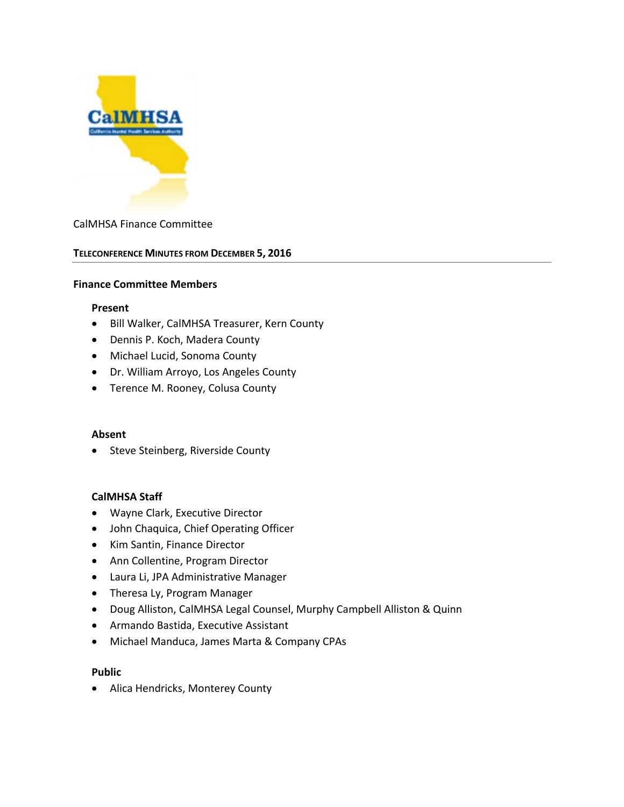

## CalMHSA Finance Committee

#### **TELECONFERENCE MINUTES FROM DECEMBER 5, 2016**

#### **Finance Committee Members**

#### **Present**

- Bill Walker, CalMHSA Treasurer, Kern County
- Dennis P. Koch, Madera County
- Michael Lucid, Sonoma County
- Dr. William Arroyo, Los Angeles County
- Terence M. Rooney, Colusa County

#### **Absent**

• Steve Steinberg, Riverside County

#### **CalMHSA Staff**

- Wayne Clark, Executive Director
- John Chaquica, Chief Operating Officer
- Kim Santin, Finance Director
- Ann Collentine, Program Director
- Laura Li, JPA Administrative Manager
- Theresa Ly, Program Manager
- Doug Alliston, CalMHSA Legal Counsel, Murphy Campbell Alliston & Quinn
- Armando Bastida, Executive Assistant
- Michael Manduca, James Marta & Company CPAs

#### **Public**

• Alica Hendricks, Monterey County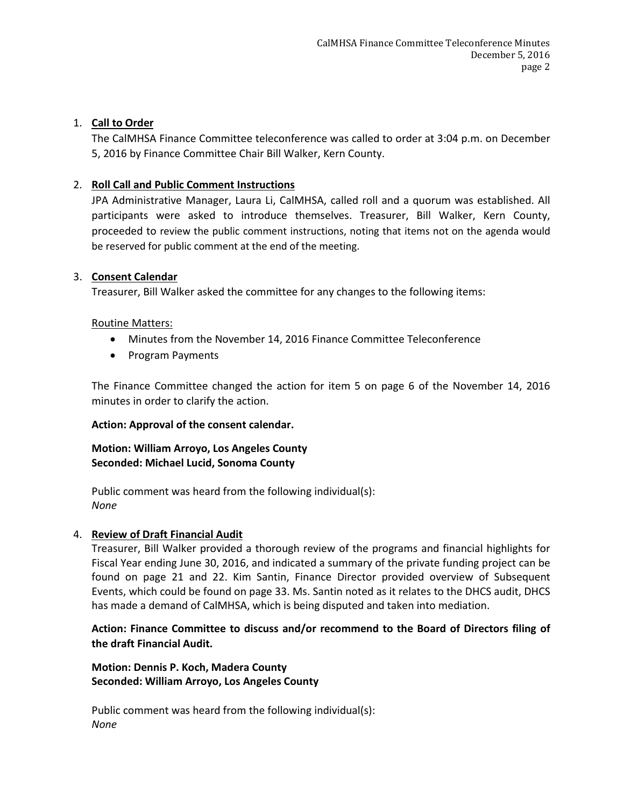## 1. **Call to Order**

The CalMHSA Finance Committee teleconference was called to order at 3:04 p.m. on December 5, 2016 by Finance Committee Chair Bill Walker, Kern County.

## 2. **Roll Call and Public Comment Instructions**

JPA Administrative Manager, Laura Li, CalMHSA, called roll and a quorum was established. All participants were asked to introduce themselves. Treasurer, Bill Walker, Kern County, proceeded to review the public comment instructions, noting that items not on the agenda would be reserved for public comment at the end of the meeting.

## 3. **Consent Calendar**

Treasurer, Bill Walker asked the committee for any changes to the following items:

## Routine Matters:

- Minutes from the November 14, 2016 Finance Committee Teleconference
- Program Payments

The Finance Committee changed the action for item 5 on page 6 of the November 14, 2016 minutes in order to clarify the action.

## **Action: Approval of the consent calendar.**

## **Motion: William Arroyo, Los Angeles County Seconded: Michael Lucid, Sonoma County**

Public comment was heard from the following individual(s): *None*

## 4. **Review of Draft Financial Audit**

Treasurer, Bill Walker provided a thorough review of the programs and financial highlights for Fiscal Year ending June 30, 2016, and indicated a summary of the private funding project can be found on page 21 and 22. Kim Santin, Finance Director provided overview of Subsequent Events, which could be found on page 33. Ms. Santin noted as it relates to the DHCS audit, DHCS has made a demand of CalMHSA, which is being disputed and taken into mediation.

**Action: Finance Committee to discuss and/or recommend to the Board of Directors filing of the draft Financial Audit.**

**Motion: Dennis P. Koch, Madera County Seconded: William Arroyo, Los Angeles County**

Public comment was heard from the following individual(s): *None*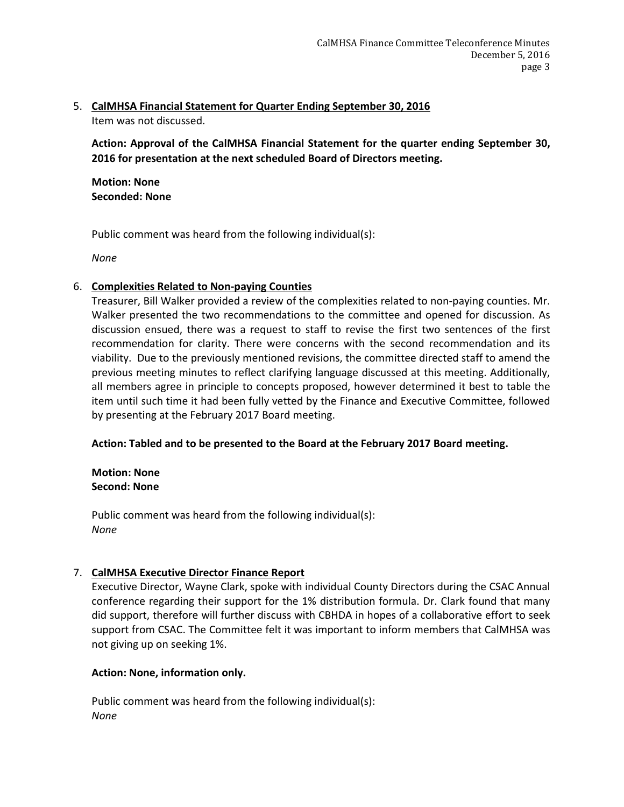### 5. **CalMHSA Financial Statement for Quarter Ending September 30, 2016** Item was not discussed.

**Action: Approval of the CalMHSA Financial Statement for the quarter ending September 30, 2016 for presentation at the next scheduled Board of Directors meeting.**

**Motion: None Seconded: None**

Public comment was heard from the following individual(s):

*None*

## 6. **Complexities Related to Non-paying Counties**

Treasurer, Bill Walker provided a review of the complexities related to non-paying counties. Mr. Walker presented the two recommendations to the committee and opened for discussion. As discussion ensued, there was a request to staff to revise the first two sentences of the first recommendation for clarity. There were concerns with the second recommendation and its viability. Due to the previously mentioned revisions, the committee directed staff to amend the previous meeting minutes to reflect clarifying language discussed at this meeting. Additionally, all members agree in principle to concepts proposed, however determined it best to table the item until such time it had been fully vetted by the Finance and Executive Committee, followed by presenting at the February 2017 Board meeting.

## **Action: Tabled and to be presented to the Board at the February 2017 Board meeting.**

## **Motion: None Second: None**

Public comment was heard from the following individual(s): *None*

# 7. **CalMHSA Executive Director Finance Report**

Executive Director, Wayne Clark, spoke with individual County Directors during the CSAC Annual conference regarding their support for the 1% distribution formula. Dr. Clark found that many did support, therefore will further discuss with CBHDA in hopes of a collaborative effort to seek support from CSAC. The Committee felt it was important to inform members that CalMHSA was not giving up on seeking 1%.

# **Action: None, information only.**

Public comment was heard from the following individual(s): *None*